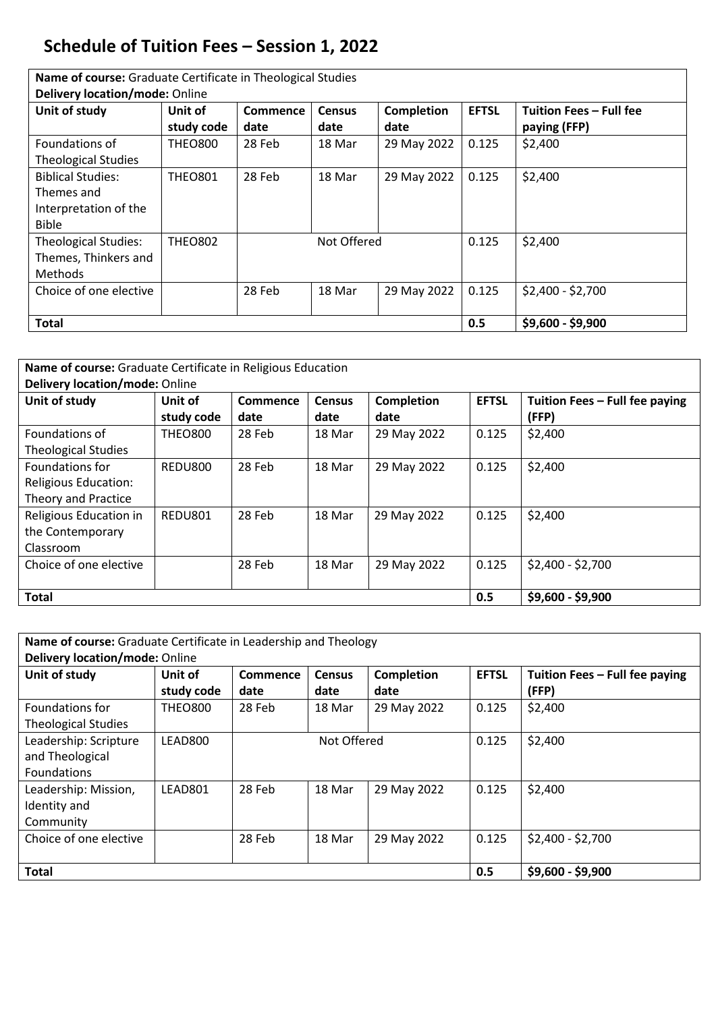## **Schedule of Tuition Fees – Session 1, 2022**

**Name of course:** Graduate Certificate in Theological Studies

| Delivery location/mode: Online |                |                 |                   |                   |              |                         |  |  |
|--------------------------------|----------------|-----------------|-------------------|-------------------|--------------|-------------------------|--|--|
| Unit of study                  | Unit of        | <b>Commence</b> | <b>Census</b>     | <b>Completion</b> | <b>EFTSL</b> | Tuition Fees - Full fee |  |  |
|                                | study code     | date            | date              | date              |              | paying (FFP)            |  |  |
| Foundations of                 | <b>THEO800</b> | 28 Feb          | 18 Mar            | 29 May 2022       | 0.125        | \$2,400                 |  |  |
| <b>Theological Studies</b>     |                |                 |                   |                   |              |                         |  |  |
| <b>Biblical Studies:</b>       | <b>THEO801</b> | 28 Feb          | 18 Mar            | 29 May 2022       | 0.125        | \$2,400                 |  |  |
| Themes and                     |                |                 |                   |                   |              |                         |  |  |
| Interpretation of the          |                |                 |                   |                   |              |                         |  |  |
| <b>Bible</b>                   |                |                 |                   |                   |              |                         |  |  |
| <b>Theological Studies:</b>    | <b>THEO802</b> |                 | Not Offered       |                   | 0.125        | \$2,400                 |  |  |
| Themes, Thinkers and           |                |                 |                   |                   |              |                         |  |  |
| Methods                        |                |                 |                   |                   |              |                         |  |  |
| Choice of one elective         |                | 28 Feb          | 18 Mar            | 29 May 2022       | 0.125        | $$2,400 - $2,700$       |  |  |
|                                |                |                 |                   |                   |              |                         |  |  |
| <b>Total</b>                   |                | 0.5             | $$9,600 - $9,900$ |                   |              |                         |  |  |

| Name of course: Graduate Certificate in Religious Education |                |                 |               |                   |              |                                |  |  |
|-------------------------------------------------------------|----------------|-----------------|---------------|-------------------|--------------|--------------------------------|--|--|
| <b>Delivery location/mode: Online</b>                       |                |                 |               |                   |              |                                |  |  |
| Unit of study                                               | Unit of        | <b>Commence</b> | <b>Census</b> | <b>Completion</b> | <b>EFTSL</b> | Tuition Fees - Full fee paying |  |  |
|                                                             | study code     | date            | date          | date              |              | (FFP)                          |  |  |
| Foundations of                                              | <b>THEO800</b> | 28 Feb          | 18 Mar        | 29 May 2022       | 0.125        | \$2,400                        |  |  |
| <b>Theological Studies</b>                                  |                |                 |               |                   |              |                                |  |  |
| <b>Foundations for</b>                                      | REDU800        | 28 Feb          | 18 Mar        | 29 May 2022       | 0.125        | \$2,400                        |  |  |
| Religious Education:                                        |                |                 |               |                   |              |                                |  |  |
| <b>Theory and Practice</b>                                  |                |                 |               |                   |              |                                |  |  |
| Religious Education in                                      | REDU801        | 28 Feb          | 18 Mar        | 29 May 2022       | 0.125        | \$2,400                        |  |  |
| the Contemporary                                            |                |                 |               |                   |              |                                |  |  |
| Classroom                                                   |                |                 |               |                   |              |                                |  |  |
| Choice of one elective                                      |                | 28 Feb          | 18 Mar        | 29 May 2022       | 0.125        | \$2,400 - \$2,700              |  |  |
|                                                             |                |                 |               |                   |              |                                |  |  |
| <b>Total</b>                                                |                |                 |               |                   |              | $$9,600 - $9,900$              |  |  |
|                                                             |                |                 |               |                   |              |                                |  |  |

| Name of course: Graduate Certificate in Leadership and Theology<br>Delivery location/mode: Online |                       |                         |                       |                           |              |                                         |  |
|---------------------------------------------------------------------------------------------------|-----------------------|-------------------------|-----------------------|---------------------------|--------------|-----------------------------------------|--|
| Unit of study                                                                                     | Unit of<br>study code | <b>Commence</b><br>date | <b>Census</b><br>date | <b>Completion</b><br>date | <b>EFTSL</b> | Tuition Fees - Full fee paying<br>(FFP) |  |
| Foundations for<br><b>Theological Studies</b>                                                     | <b>THEO800</b>        | 28 Feb                  | 18 Mar                | 29 May 2022               | 0.125        | \$2,400                                 |  |
| Leadership: Scripture<br>and Theological<br><b>Foundations</b>                                    | LEAD800               |                         | Not Offered           |                           | 0.125        | \$2,400                                 |  |
| Leadership: Mission,<br>Identity and<br>Community                                                 | LEAD801               | 28 Feb                  | 18 Mar                | 29 May 2022               | 0.125        | \$2,400                                 |  |
| Choice of one elective                                                                            |                       | 28 Feb                  | 18 Mar                | 29 May 2022               | 0.125        | $$2,400 - $2,700$                       |  |
| <b>Total</b>                                                                                      |                       | 0.5                     | \$9,600 - \$9,900     |                           |              |                                         |  |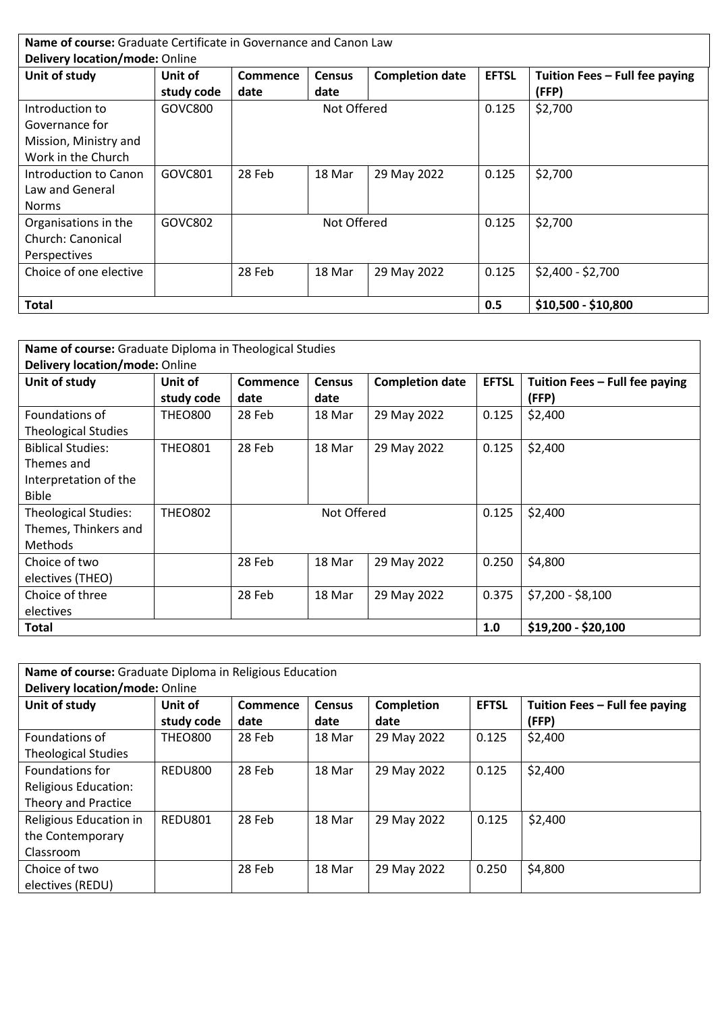|                                | <b>Name of course:</b> Graduate Certificate in Governance and Canon Law |          |               |                        |              |                                |  |  |
|--------------------------------|-------------------------------------------------------------------------|----------|---------------|------------------------|--------------|--------------------------------|--|--|
| Delivery location/mode: Online |                                                                         |          |               |                        |              |                                |  |  |
| Unit of study                  | Unit of                                                                 | Commence | <b>Census</b> | <b>Completion date</b> | <b>EFTSL</b> | Tuition Fees - Full fee paying |  |  |
|                                | study code                                                              | date     | date          |                        |              | (FFP)                          |  |  |
| Introduction to                | GOVC800                                                                 |          | Not Offered   |                        | 0.125        | \$2,700                        |  |  |
| Governance for                 |                                                                         |          |               |                        |              |                                |  |  |
| Mission, Ministry and          |                                                                         |          |               |                        |              |                                |  |  |
| Work in the Church             |                                                                         |          |               |                        |              |                                |  |  |
| Introduction to Canon          | GOVC801                                                                 | 28 Feb   | 18 Mar        | 29 May 2022            | 0.125        | \$2,700                        |  |  |
| Law and General                |                                                                         |          |               |                        |              |                                |  |  |
| <b>Norms</b>                   |                                                                         |          |               |                        |              |                                |  |  |
| Organisations in the           | GOVC802                                                                 |          | Not Offered   |                        | 0.125        | \$2,700                        |  |  |
| <b>Church: Canonical</b>       |                                                                         |          |               |                        |              |                                |  |  |
| <b>Perspectives</b>            |                                                                         |          |               |                        |              |                                |  |  |
| Choice of one elective         |                                                                         | 28 Feb   | 18 Mar        | 29 May 2022            | 0.125        | $$2,400 - $2,700$              |  |  |
|                                |                                                                         |          |               |                        |              |                                |  |  |
| Total                          |                                                                         |          |               |                        | 0.5          | \$10,500 - \$10,800            |  |  |

| <b>Name of course:</b> Graduate Diploma in Theological Studies |                |                 |               |                        |              |                                |  |  |
|----------------------------------------------------------------|----------------|-----------------|---------------|------------------------|--------------|--------------------------------|--|--|
| <b>Delivery location/mode: Online</b>                          |                |                 |               |                        |              |                                |  |  |
| Unit of study                                                  | Unit of        | <b>Commence</b> | <b>Census</b> | <b>Completion date</b> | <b>EFTSL</b> | Tuition Fees - Full fee paying |  |  |
|                                                                | study code     | date            | date          |                        |              | (FFP)                          |  |  |
| Foundations of                                                 | <b>THEO800</b> | 28 Feb          | 18 Mar        | 29 May 2022            | 0.125        | \$2,400                        |  |  |
| <b>Theological Studies</b>                                     |                |                 |               |                        |              |                                |  |  |
| <b>Biblical Studies:</b>                                       | <b>THEO801</b> | 28 Feb          | 18 Mar        | 29 May 2022            | 0.125        | \$2,400                        |  |  |
| Themes and                                                     |                |                 |               |                        |              |                                |  |  |
| Interpretation of the                                          |                |                 |               |                        |              |                                |  |  |
| <b>Bible</b>                                                   |                |                 |               |                        |              |                                |  |  |
| Theological Studies:                                           | <b>THEO802</b> |                 | Not Offered   |                        | 0.125        | \$2,400                        |  |  |
| Themes, Thinkers and                                           |                |                 |               |                        |              |                                |  |  |
| <b>Methods</b>                                                 |                |                 |               |                        |              |                                |  |  |
| Choice of two                                                  |                | 28 Feb          | 18 Mar        | 29 May 2022            | 0.250        | \$4,800                        |  |  |
| electives (THEO)                                               |                |                 |               |                        |              |                                |  |  |
| Choice of three                                                |                | 28 Feb          | 18 Mar        | 29 May 2022            | 0.375        | \$7,200 - \$8,100              |  |  |
| electives                                                      |                |                 |               |                        |              |                                |  |  |
| <b>Total</b>                                                   |                |                 |               |                        | 1.0          | $$19,200 - $20,100$            |  |  |

| Name of course: Graduate Diploma in Religious Education |                                       |          |               |             |              |                                |  |  |  |  |
|---------------------------------------------------------|---------------------------------------|----------|---------------|-------------|--------------|--------------------------------|--|--|--|--|
|                                                         | <b>Delivery location/mode: Online</b> |          |               |             |              |                                |  |  |  |  |
| Unit of study                                           | Unit of                               | Commence | <b>Census</b> | Completion  | <b>EFTSL</b> | Tuition Fees - Full fee paying |  |  |  |  |
|                                                         | study code                            | date     | date          | date        |              | (FFP)                          |  |  |  |  |
| Foundations of                                          | <b>THEO800</b>                        | 28 Feb   | 18 Mar        | 29 May 2022 | 0.125        | \$2,400                        |  |  |  |  |
| <b>Theological Studies</b>                              |                                       |          |               |             |              |                                |  |  |  |  |
| Foundations for                                         | REDU800                               | 28 Feb   | 18 Mar        | 29 May 2022 | 0.125        | \$2,400                        |  |  |  |  |
| Religious Education:                                    |                                       |          |               |             |              |                                |  |  |  |  |
| Theory and Practice                                     |                                       |          |               |             |              |                                |  |  |  |  |
| Religious Education in                                  | REDU801                               | 28 Feb   | 18 Mar        | 29 May 2022 | 0.125        | \$2,400                        |  |  |  |  |
| the Contemporary                                        |                                       |          |               |             |              |                                |  |  |  |  |
| Classroom                                               |                                       |          |               |             |              |                                |  |  |  |  |
| Choice of two                                           |                                       | 28 Feb   | 18 Mar        | 29 May 2022 | 0.250        | \$4,800                        |  |  |  |  |
| electives (REDU)                                        |                                       |          |               |             |              |                                |  |  |  |  |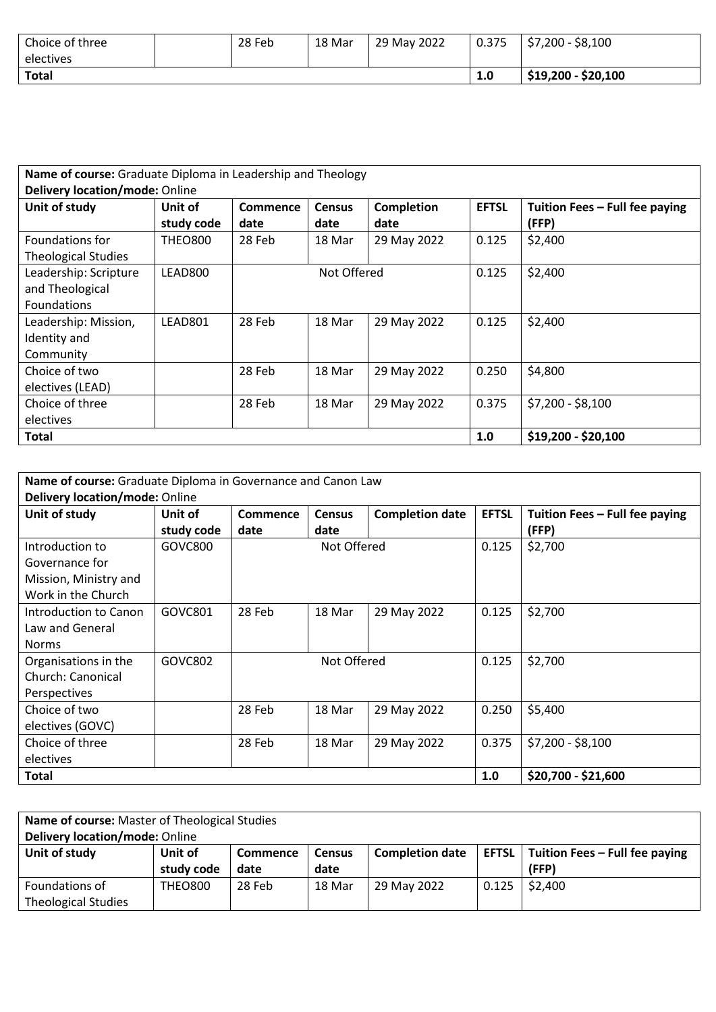| Choice of three | 28 Feb | 18 Mar | 29 May 2022 | 0.375 | $$7,200 - $8,100$   |
|-----------------|--------|--------|-------------|-------|---------------------|
| electives       |        |        |             |       |                     |
| <b>Total</b>    |        |        |             | 1.0   | $$19,200 - $20,100$ |

| Name of course: Graduate Diploma in Leadership and Theology |                |          |                     |                   |              |                                |  |  |
|-------------------------------------------------------------|----------------|----------|---------------------|-------------------|--------------|--------------------------------|--|--|
| Delivery location/mode: Online                              |                |          |                     |                   |              |                                |  |  |
| Unit of study                                               | Unit of        | Commence | <b>Census</b>       | <b>Completion</b> | <b>EFTSL</b> | Tuition Fees - Full fee paying |  |  |
|                                                             | study code     | date     | date                | date              |              | (FFP)                          |  |  |
| Foundations for                                             | <b>THEO800</b> | 28 Feb   | 18 Mar              | 29 May 2022       | 0.125        | \$2,400                        |  |  |
| <b>Theological Studies</b>                                  |                |          |                     |                   |              |                                |  |  |
| Leadership: Scripture                                       | LEAD800        |          | Not Offered         |                   | 0.125        | \$2,400                        |  |  |
| and Theological                                             |                |          |                     |                   |              |                                |  |  |
| <b>Foundations</b>                                          |                |          |                     |                   |              |                                |  |  |
| Leadership: Mission,                                        | LEAD801        | 28 Feb   | 18 Mar              | 29 May 2022       | 0.125        | \$2,400                        |  |  |
| Identity and                                                |                |          |                     |                   |              |                                |  |  |
| Community                                                   |                |          |                     |                   |              |                                |  |  |
| Choice of two                                               |                | 28 Feb   | 18 Mar              | 29 May 2022       | 0.250        | \$4,800                        |  |  |
| electives (LEAD)                                            |                |          |                     |                   |              |                                |  |  |
| Choice of three                                             |                | 28 Feb   | 18 Mar              | 29 May 2022       | 0.375        | $$7,200 - $8,100$              |  |  |
| electives                                                   |                |          |                     |                   |              |                                |  |  |
| Total                                                       |                | 1.0      | $$19,200 - $20,100$ |                   |              |                                |  |  |

| Name of course: Graduate Diploma in Governance and Canon Law |            |          |               |                        |              |                                |  |  |
|--------------------------------------------------------------|------------|----------|---------------|------------------------|--------------|--------------------------------|--|--|
| Delivery location/mode: Online                               |            |          |               |                        |              |                                |  |  |
| Unit of study                                                | Unit of    | Commence | <b>Census</b> | <b>Completion date</b> | <b>EFTSL</b> | Tuition Fees - Full fee paying |  |  |
|                                                              | study code | date     | date          |                        |              | (FFP)                          |  |  |
| Introduction to                                              | GOVC800    |          | Not Offered   |                        | 0.125        | \$2,700                        |  |  |
| Governance for                                               |            |          |               |                        |              |                                |  |  |
| Mission, Ministry and                                        |            |          |               |                        |              |                                |  |  |
| Work in the Church                                           |            |          |               |                        |              |                                |  |  |
| Introduction to Canon                                        | GOVC801    | 28 Feb   | 18 Mar        | 29 May 2022            | 0.125        | \$2,700                        |  |  |
| Law and General                                              |            |          |               |                        |              |                                |  |  |
| <b>Norms</b>                                                 |            |          |               |                        |              |                                |  |  |
| Organisations in the                                         | GOVC802    |          | Not Offered   |                        | 0.125        | \$2,700                        |  |  |
| Church: Canonical                                            |            |          |               |                        |              |                                |  |  |
| <b>Perspectives</b>                                          |            |          |               |                        |              |                                |  |  |
| Choice of two                                                |            | 28 Feb   | 18 Mar        | 29 May 2022            | 0.250        | \$5,400                        |  |  |
| electives (GOVC)                                             |            |          |               |                        |              |                                |  |  |
| Choice of three                                              |            | 28 Feb   | 18 Mar        | 29 May 2022            | 0.375        | $$7,200 - $8,100$              |  |  |
| electives                                                    |            |          |               |                        |              |                                |  |  |
| Total                                                        |            |          |               |                        | 1.0          | $$20,700 - $21,600$            |  |  |

| Name of course: Master of Theological Studies<br>Delivery location/mode: Online |                                                                                                                                                                     |        |        |             |       |         |  |
|---------------------------------------------------------------------------------|---------------------------------------------------------------------------------------------------------------------------------------------------------------------|--------|--------|-------------|-------|---------|--|
| Unit of study                                                                   | <b>EFTSL</b> $\vert$ Tuition Fees – Full fee paying<br><b>Completion date</b><br>Unit of<br><b>Commence</b><br><b>Census</b><br>(FFP)<br>study code<br>date<br>date |        |        |             |       |         |  |
| Foundations of                                                                  | <b>THEO800</b>                                                                                                                                                      | 28 Feb | 18 Mar | 29 May 2022 | 0.125 | \$2,400 |  |
| <b>Theological Studies</b>                                                      |                                                                                                                                                                     |        |        |             |       |         |  |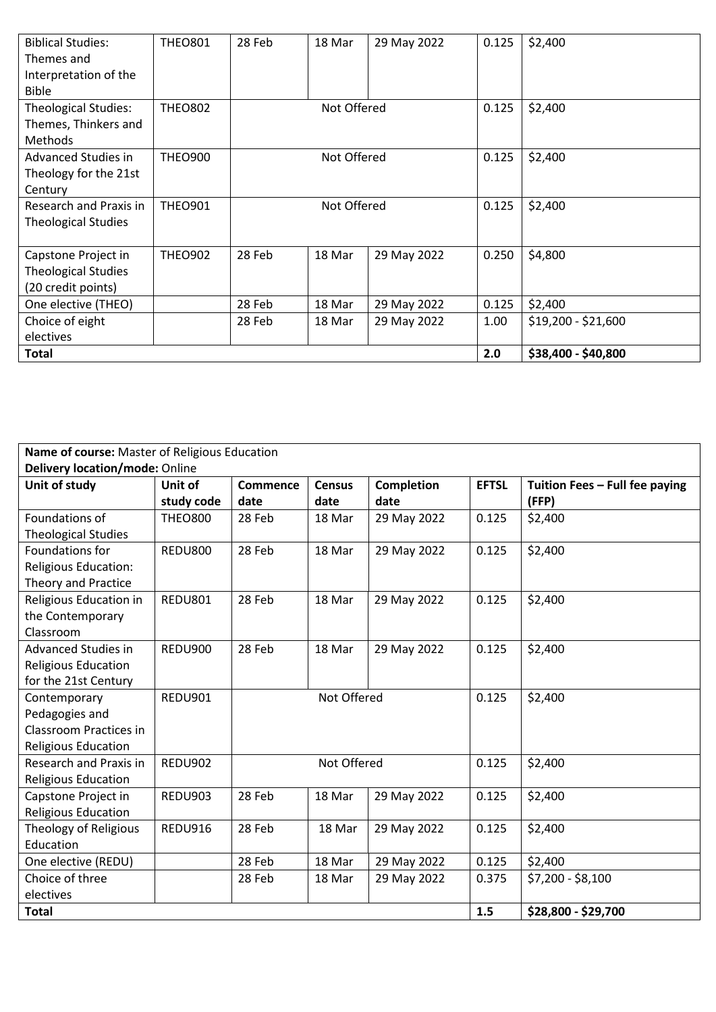| <b>Biblical Studies:</b>    | <b>THEO801</b> | 28 Feb | 18 Mar      | 29 May 2022 | 0.125 | \$2,400             |
|-----------------------------|----------------|--------|-------------|-------------|-------|---------------------|
| Themes and                  |                |        |             |             |       |                     |
| Interpretation of the       |                |        |             |             |       |                     |
| <b>Bible</b>                |                |        |             |             |       |                     |
| <b>Theological Studies:</b> | <b>THEO802</b> |        | Not Offered |             | 0.125 | \$2,400             |
| Themes, Thinkers and        |                |        |             |             |       |                     |
| <b>Methods</b>              |                |        |             |             |       |                     |
| <b>Advanced Studies in</b>  | <b>THEO900</b> |        | Not Offered |             | 0.125 | \$2,400             |
| Theology for the 21st       |                |        |             |             |       |                     |
| Century                     |                |        |             |             |       |                     |
| Research and Praxis in      | <b>THEO901</b> |        | Not Offered |             | 0.125 | \$2,400             |
| <b>Theological Studies</b>  |                |        |             |             |       |                     |
|                             |                |        |             |             |       |                     |
| Capstone Project in         | <b>THEO902</b> | 28 Feb | 18 Mar      | 29 May 2022 | 0.250 | \$4,800             |
| <b>Theological Studies</b>  |                |        |             |             |       |                     |
| (20 credit points)          |                |        |             |             |       |                     |
| One elective (THEO)         |                | 28 Feb | 18 Mar      | 29 May 2022 | 0.125 | \$2,400             |
| Choice of eight             |                | 28 Feb | 18 Mar      | 29 May 2022 | 1.00  | \$19,200 - \$21,600 |
| electives                   |                |        |             |             |       |                     |
| <b>Total</b>                |                |        |             |             | 2.0   | \$38,400 - \$40,800 |

| Name of course: Master of Religious Education |                |                 |                     |             |              |                                |  |  |
|-----------------------------------------------|----------------|-----------------|---------------------|-------------|--------------|--------------------------------|--|--|
| <b>Delivery location/mode: Online</b>         |                |                 |                     |             |              |                                |  |  |
| Unit of study                                 | Unit of        | <b>Commence</b> | <b>Census</b>       | Completion  | <b>EFTSL</b> | Tuition Fees - Full fee paying |  |  |
|                                               | study code     | date            | date                | date        |              | (FFP)                          |  |  |
| Foundations of                                | <b>THEO800</b> | 28 Feb          | 18 Mar              | 29 May 2022 | 0.125        | \$2,400                        |  |  |
| <b>Theological Studies</b>                    |                |                 |                     |             |              |                                |  |  |
| Foundations for                               | <b>REDU800</b> | 28 Feb          | 18 Mar              | 29 May 2022 | 0.125        | \$2,400                        |  |  |
| <b>Religious Education:</b>                   |                |                 |                     |             |              |                                |  |  |
| <b>Theory and Practice</b>                    |                |                 |                     |             |              |                                |  |  |
| Religious Education in                        | REDU801        | 28 Feb          | 18 Mar              | 29 May 2022 | 0.125        | \$2,400                        |  |  |
| the Contemporary                              |                |                 |                     |             |              |                                |  |  |
| Classroom                                     |                |                 |                     |             |              |                                |  |  |
| <b>Advanced Studies in</b>                    | REDU900        | 28 Feb          | 18 Mar              | 29 May 2022 | 0.125        | \$2,400                        |  |  |
| <b>Religious Education</b>                    |                |                 |                     |             |              |                                |  |  |
| for the 21st Century                          |                |                 |                     |             |              |                                |  |  |
| Contemporary                                  | REDU901        |                 | Not Offered         |             | 0.125        | \$2,400                        |  |  |
| Pedagogies and                                |                |                 |                     |             |              |                                |  |  |
| Classroom Practices in                        |                |                 |                     |             |              |                                |  |  |
| <b>Religious Education</b>                    |                |                 |                     |             |              |                                |  |  |
| <b>Research and Praxis in</b>                 | REDU902        |                 | Not Offered         |             | 0.125        | \$2,400                        |  |  |
| <b>Religious Education</b>                    |                |                 |                     |             |              |                                |  |  |
| Capstone Project in                           | REDU903        | 28 Feb          | 18 Mar              | 29 May 2022 | 0.125        | \$2,400                        |  |  |
| <b>Religious Education</b>                    |                |                 |                     |             |              |                                |  |  |
| Theology of Religious                         | REDU916        | 28 Feb          | 18 Mar              | 29 May 2022 | 0.125        | \$2,400                        |  |  |
| Education                                     |                |                 |                     |             |              |                                |  |  |
| One elective (REDU)                           |                | 28 Feb          | 18 Mar              | 29 May 2022 | 0.125        | \$2,400                        |  |  |
| Choice of three                               |                | 28 Feb          | 18 Mar              | 29 May 2022 | 0.375        | $$7,200 - $8,100$              |  |  |
| electives                                     |                |                 |                     |             |              |                                |  |  |
| <b>Total</b>                                  |                | 1.5             | \$28,800 - \$29,700 |             |              |                                |  |  |